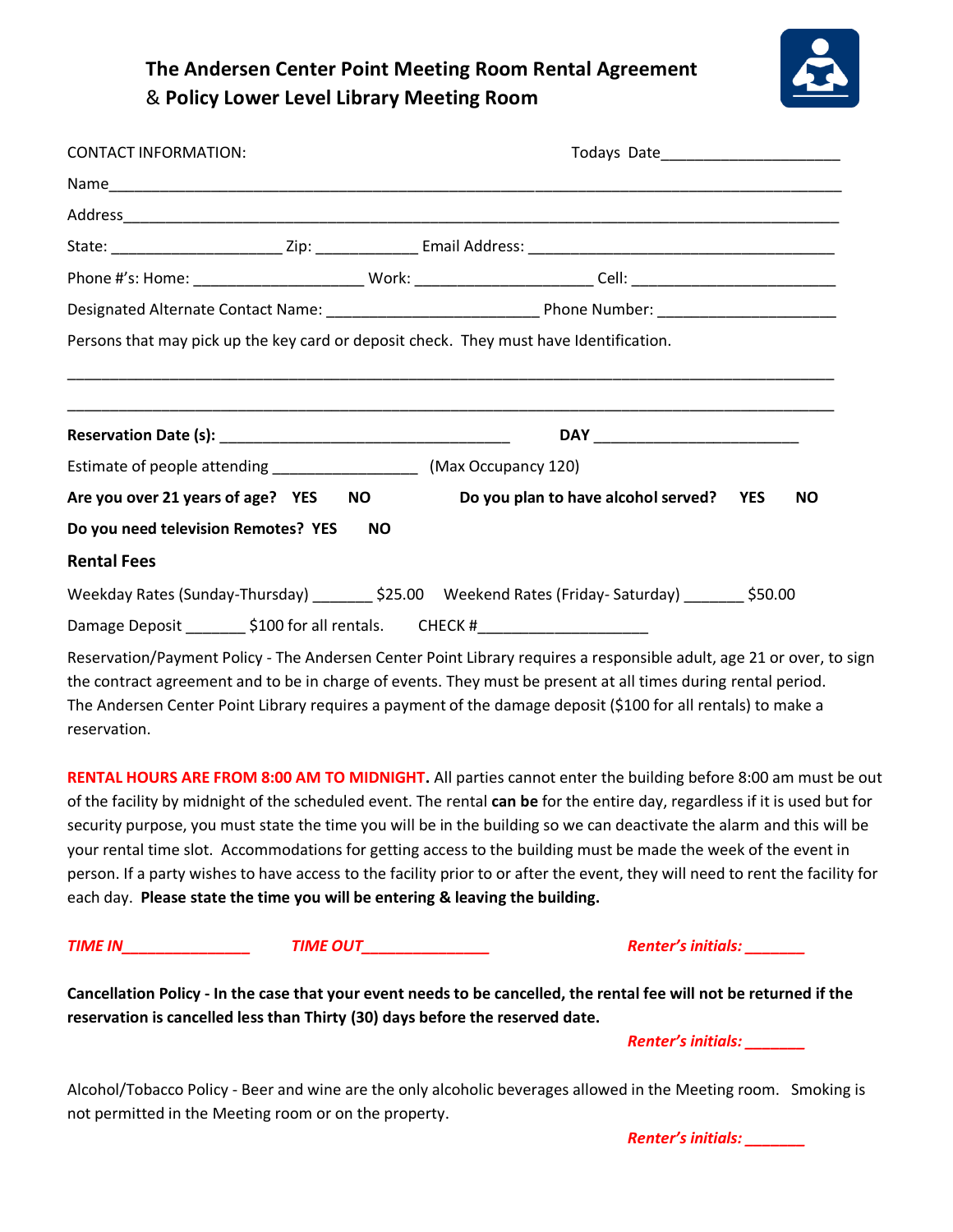# **The Andersen Center Point Meeting Room Rental Agreement**  & **Policy Lower Level Library Meeting Room**



| <b>CONTACT INFORMATION:</b>                                                                       |           |  |                                         |  |           |
|---------------------------------------------------------------------------------------------------|-----------|--|-----------------------------------------|--|-----------|
|                                                                                                   |           |  |                                         |  |           |
|                                                                                                   |           |  |                                         |  |           |
|                                                                                                   |           |  |                                         |  |           |
|                                                                                                   |           |  |                                         |  |           |
|                                                                                                   |           |  |                                         |  |           |
| Persons that may pick up the key card or deposit check. They must have Identification.            |           |  |                                         |  |           |
|                                                                                                   |           |  |                                         |  |           |
|                                                                                                   |           |  |                                         |  |           |
|                                                                                                   |           |  |                                         |  |           |
| Estimate of people attending __________________________(Max Occupancy 120)                        |           |  |                                         |  |           |
| Are you over 21 years of age? YES                                                                 | NO.       |  | Do you plan to have alcohol served? YES |  | <b>NO</b> |
| Do you need television Remotes? YES                                                               | <b>NO</b> |  |                                         |  |           |
| <b>Rental Fees</b>                                                                                |           |  |                                         |  |           |
| Weekday Rates (Sunday-Thursday) ________ \$25.00 Weekend Rates (Friday- Saturday) _______ \$50.00 |           |  |                                         |  |           |
| Damage Deposit _________ \$100 for all rentals. CHECK #__________________________                 |           |  |                                         |  |           |

Reservation/Payment Policy - The Andersen Center Point Library requires a responsible adult, age 21 or over, to sign the contract agreement and to be in charge of events. They must be present at all times during rental period. The Andersen Center Point Library requires a payment of the damage deposit (\$100 for all rentals) to make a reservation.

**RENTAL HOURS ARE FROM 8:00 AM TO MIDNIGHT.** All parties cannot enter the building before 8:00 am must be out of the facility by midnight of the scheduled event. The rental **can be** for the entire day, regardless if it is used but for security purpose, you must state the time you will be in the building so we can deactivate the alarm and this will be your rental time slot. Accommodations for getting access to the building must be made the week of the event in person. If a party wishes to have access to the facility prior to or after the event, they will need to rent the facility for each day. **Please state the time you will be entering & leaving the building.**

*TIME IN\_\_\_\_\_\_\_\_\_\_\_\_\_\_\_ TIME OUT\_\_\_\_\_\_\_\_\_\_\_\_\_\_\_ Renter's initials: \_\_\_\_\_\_\_*

**Cancellation Policy - In the case that your event needs to be cancelled, the rental fee will not be returned if the reservation is cancelled less than Thirty (30) days before the reserved date.** 

*Renter's initials: \_\_\_\_\_\_\_*

Alcohol/Tobacco Policy - Beer and wine are the only alcoholic beverages allowed in the Meeting room. Smoking is not permitted in the Meeting room or on the property.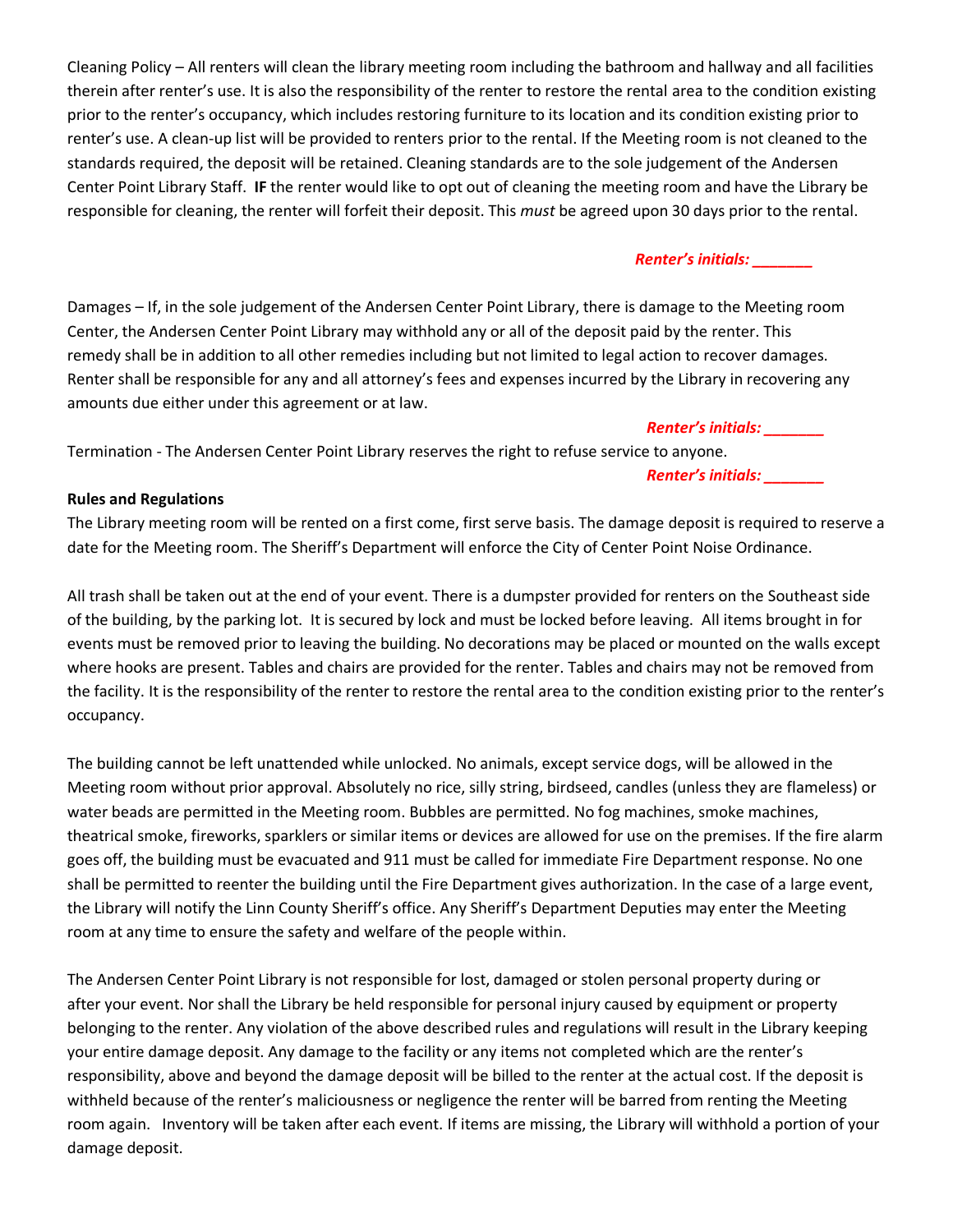Cleaning Policy – All renters will clean the library meeting room including the bathroom and hallway and all facilities therein after renter's use. It is also the responsibility of the renter to restore the rental area to the condition existing prior to the renter's occupancy, which includes restoring furniture to its location and its condition existing prior to renter's use. A clean-up list will be provided to renters prior to the rental. If the Meeting room is not cleaned to the standards required, the deposit will be retained. Cleaning standards are to the sole judgement of the Andersen Center Point Library Staff. **IF** the renter would like to opt out of cleaning the meeting room and have the Library be responsible for cleaning, the renter will forfeit their deposit. This *must* be agreed upon 30 days prior to the rental.

# *Renter's initials: \_\_\_\_\_\_\_*

Damages – If, in the sole judgement of the Andersen Center Point Library, there is damage to the Meeting room Center, the Andersen Center Point Library may withhold any or all of the deposit paid by the renter. This remedy shall be in addition to all other remedies including but not limited to legal action to recover damages. Renter shall be responsible for any and all attorney's fees and expenses incurred by the Library in recovering any amounts due either under this agreement or at law.

# *Renter's initials: \_\_\_\_\_\_\_*

Termination - The Andersen Center Point Library reserves the right to refuse service to anyone.

#### *Renter's initials: \_\_\_\_\_\_\_*

#### **Rules and Regulations**

The Library meeting room will be rented on a first come, first serve basis. The damage deposit is required to reserve a date for the Meeting room. The Sheriff's Department will enforce the City of Center Point Noise Ordinance.

All trash shall be taken out at the end of your event. There is a dumpster provided for renters on the Southeast side of the building, by the parking lot. It is secured by lock and must be locked before leaving. All items brought in for events must be removed prior to leaving the building. No decorations may be placed or mounted on the walls except where hooks are present. Tables and chairs are provided for the renter. Tables and chairs may not be removed from the facility. It is the responsibility of the renter to restore the rental area to the condition existing prior to the renter's occupancy.

The building cannot be left unattended while unlocked. No animals, except service dogs, will be allowed in the Meeting room without prior approval. Absolutely no rice, silly string, birdseed, candles (unless they are flameless) or water beads are permitted in the Meeting room. Bubbles are permitted. No fog machines, smoke machines, theatrical smoke, fireworks, sparklers or similar items or devices are allowed for use on the premises. If the fire alarm goes off, the building must be evacuated and 911 must be called for immediate Fire Department response. No one shall be permitted to reenter the building until the Fire Department gives authorization. In the case of a large event, the Library will notify the Linn County Sheriff's office. Any Sheriff's Department Deputies may enter the Meeting room at any time to ensure the safety and welfare of the people within.

The Andersen Center Point Library is not responsible for lost, damaged or stolen personal property during or after your event. Nor shall the Library be held responsible for personal injury caused by equipment or property belonging to the renter. Any violation of the above described rules and regulations will result in the Library keeping your entire damage deposit. Any damage to the facility or any items not completed which are the renter's responsibility, above and beyond the damage deposit will be billed to the renter at the actual cost. If the deposit is withheld because of the renter's maliciousness or negligence the renter will be barred from renting the Meeting room again. Inventory will be taken after each event. If items are missing, the Library will withhold a portion of your damage deposit.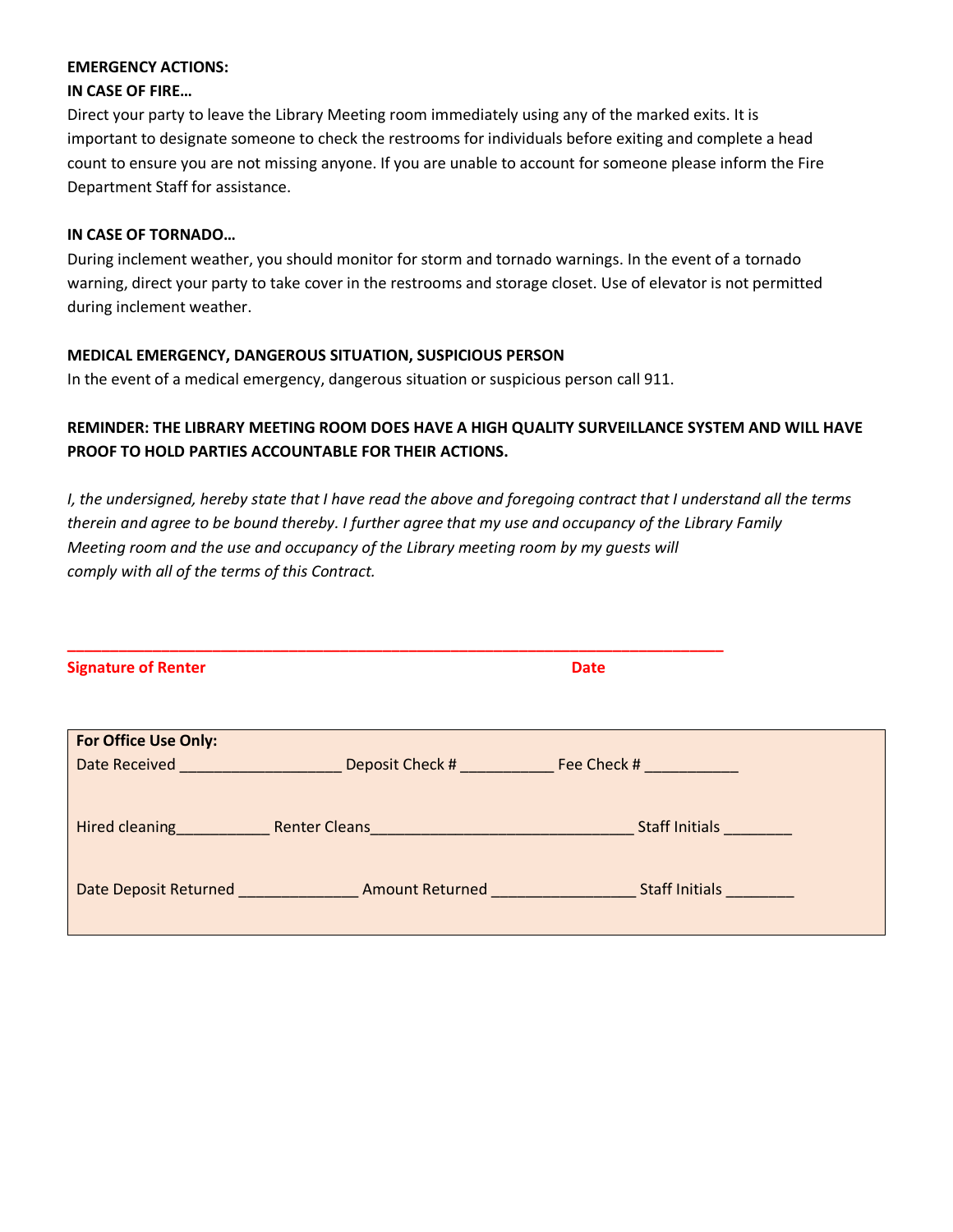#### **EMERGENCY ACTIONS:**

#### **IN CASE OF FIRE…**

Direct your party to leave the Library Meeting room immediately using any of the marked exits. It is important to designate someone to check the restrooms for individuals before exiting and complete a head count to ensure you are not missing anyone. If you are unable to account for someone please inform the Fire Department Staff for assistance.

#### **IN CASE OF TORNADO…**

During inclement weather, you should monitor for storm and tornado warnings. In the event of a tornado warning, direct your party to take cover in the restrooms and storage closet. Use of elevator is not permitted during inclement weather.

# **MEDICAL EMERGENCY, DANGEROUS SITUATION, SUSPICIOUS PERSON**

In the event of a medical emergency, dangerous situation or suspicious person call 911.

# **REMINDER: THE LIBRARY MEETING ROOM DOES HAVE A HIGH QUALITY SURVEILLANCE SYSTEM AND WILL HAVE PROOF TO HOLD PARTIES ACCOUNTABLE FOR THEIR ACTIONS.**

*I, the undersigned, hereby state that I have read the above and foregoing contract that I understand all the terms therein and agree to be bound thereby. I further agree that my use and occupancy of the Library Family Meeting room and the use and occupancy of the Library meeting room by my guests will comply with all of the terms of this Contract.*

| <b>Signature of Renter</b>                                                              |                                                                                                                                                                                                                                      | <b>Date</b>                                   |  |
|-----------------------------------------------------------------------------------------|--------------------------------------------------------------------------------------------------------------------------------------------------------------------------------------------------------------------------------------|-----------------------------------------------|--|
| <b>For Office Use Only:</b><br>Date Received <b>Contract Contract Contract Contract</b> |                                                                                                                                                                                                                                      | <b>Example 20 Deposit Check #</b> Fee Check # |  |
|                                                                                         | <b>Hired cleaning The Renter Cleans Cleaning Cleaning Cleaning Cleaning Cleaning Cleaning Cleaning Cleaning Cleaning Cleaning Cleaning Cleaning Cleaning Cleaning Cleaning Cleaning Cleaning Cleaning Cleaning Cleaning Cleaning</b> | <b>Staff Initials</b>                         |  |
|                                                                                         | Date Deposit Returned <b>Example 2 Amount Returned</b>                                                                                                                                                                               | Staff Initials _________                      |  |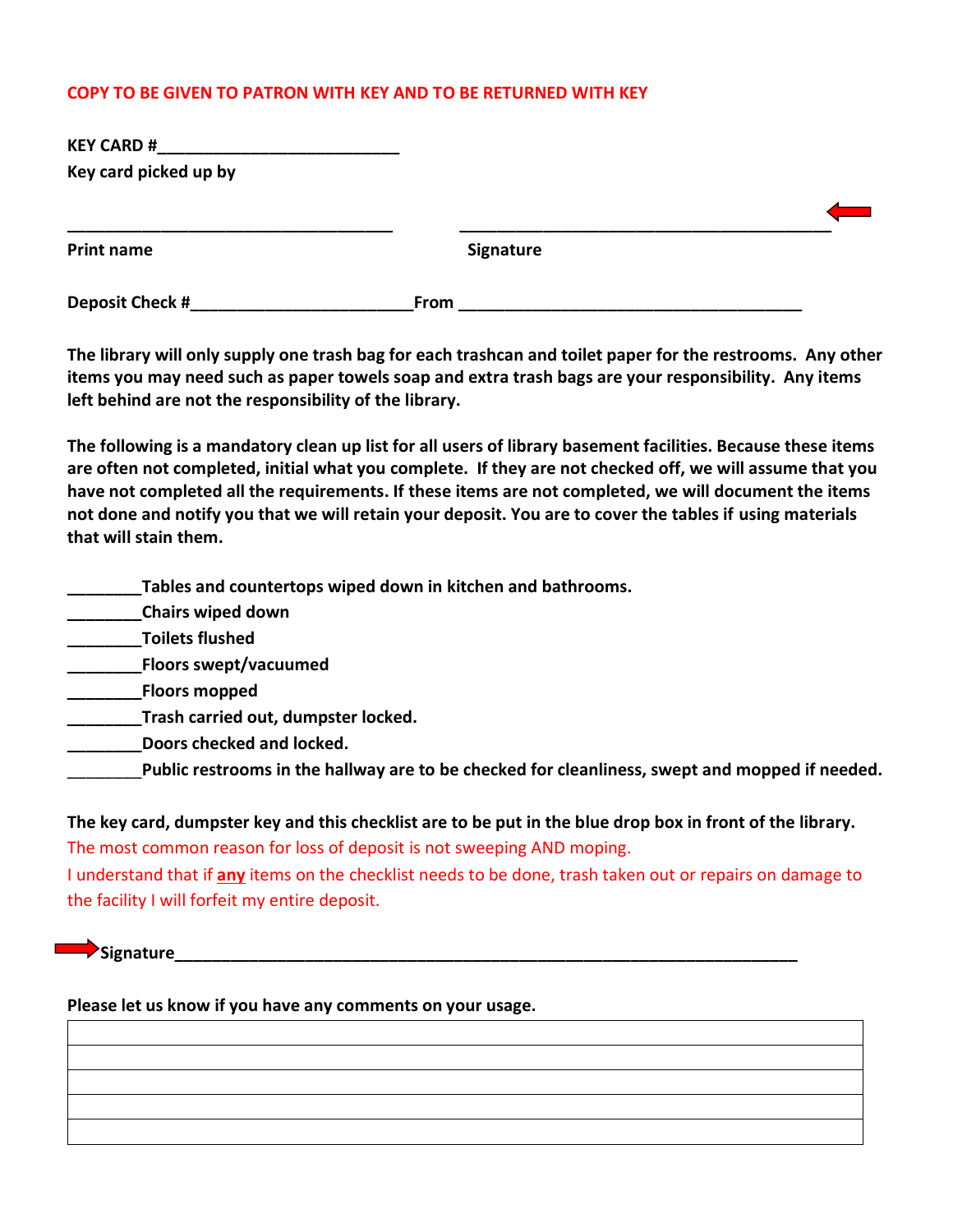# **COPY TO BE GIVEN TO PATRON WITH KEY AND TO BE RETURNED WITH KEY**

| <b>KEY CARD #</b>     |      |           |  |
|-----------------------|------|-----------|--|
| Key card picked up by |      |           |  |
|                       |      |           |  |
| <b>Print name</b>     |      | Signature |  |
| Deposit Check #       | From |           |  |

**The library will only supply one trash bag for each trashcan and toilet paper for the restrooms. Any other items you may need such as paper towels soap and extra trash bags are your responsibility. Any items left behind are not the responsibility of the library.**

**The following is a mandatory clean up list for all users of library basement facilities. Because these items are often not completed, initial what you complete. If they are not checked off, we will assume that you have not completed all the requirements. If these items are not completed, we will document the items not done and notify you that we will retain your deposit. You are to cover the tables if using materials that will stain them.** 

**\_\_\_\_\_\_\_\_Tables and countertops wiped down in kitchen and bathrooms.**

**\_\_\_\_\_\_\_\_Chairs wiped down**

**\_\_\_\_\_\_\_\_Toilets flushed**

**\_\_\_\_\_\_\_\_Floors swept/vacuumed**

**\_\_\_\_\_\_\_\_Floors mopped**

**\_\_\_\_\_\_\_\_Trash carried out, dumpster locked.**

**\_\_\_\_\_\_\_\_Doors checked and locked.**

\_\_\_\_\_\_\_\_**Public restrooms in the hallway are to be checked for cleanliness, swept and mopped if needed.** 

**The key card, dumpster key and this checklist are to be put in the blue drop box in front of the library.**  The most common reason for loss of deposit is not sweeping AND moping.

I understand that if **any** items on the checklist needs to be done, trash taken out or repairs on damage to the facility I will forfeit my entire deposit.

**Bignature** 

**Please let us know if you have any comments on your usage.**